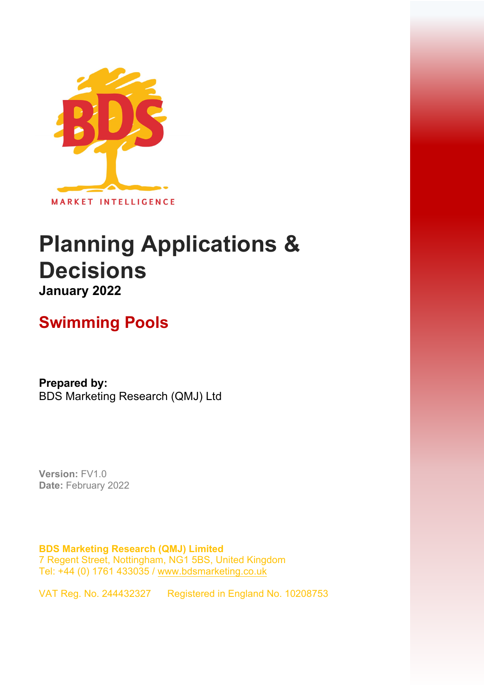

# **Planning Applications & Decisions January 2022**

## **Swimming Pools**

**Prepared by:**  BDS Marketing Research (QMJ) Ltd

**Version:** FV1.0 **Date:** February 2022

**BDS Marketing Research (QMJ) Limited**  7 Regent Street, Nottingham, NG1 5BS, United Kingdom Tel: +44 (0) 1761 433035 / [www.bdsmarketing.co.uk](http://www.bdsmarketing.co.uk/)

VAT Reg. No. 244432327 Registered in England No. 10208753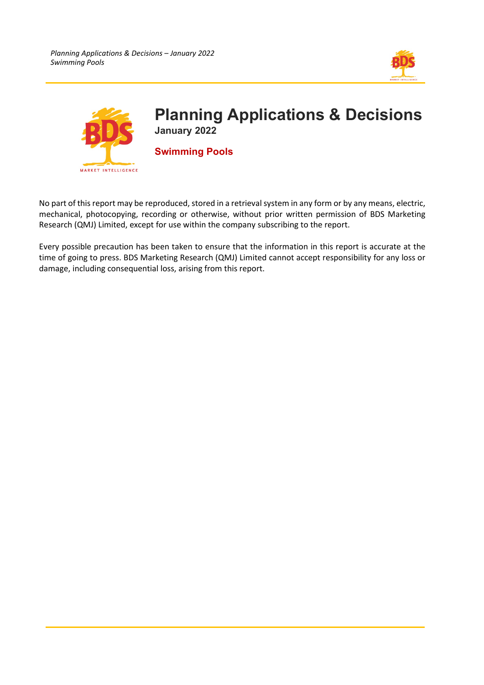



No part of this report may be reproduced, stored in a retrieval system in any form or by any means, electric, mechanical, photocopying, recording or otherwise, without prior written permission of BDS Marketing Research (QMJ) Limited, except for use within the company subscribing to the report.

Every possible precaution has been taken to ensure that the information in this report is accurate at the time of going to press. BDS Marketing Research (QMJ) Limited cannot accept responsibility for any loss or damage, including consequential loss, arising from this report.